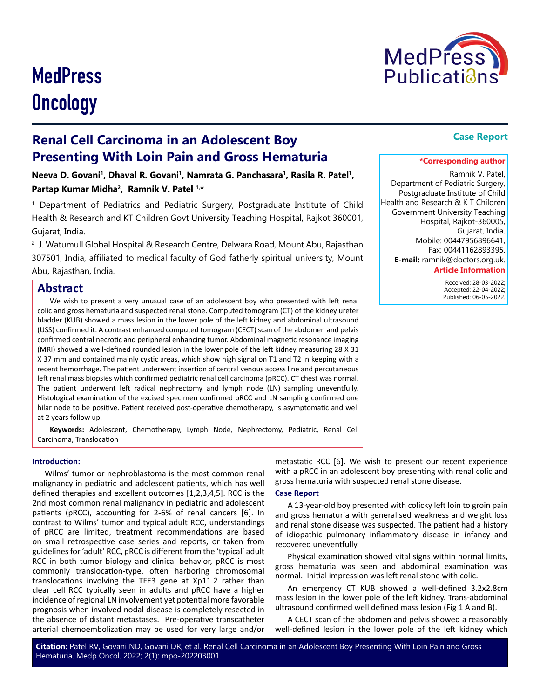

# **MedPress Oncology**

## **Renal Cell Carcinoma in an Adolescent Boy Presenting With Loin Pain and Gross Hematuria**

Neeva D. Govani<sup>1</sup>, Dhaval R. Govani<sup>1</sup>, Namrata G. Panchasara<sup>1</sup>, Rasila R. Patel<sup>1</sup>, **Partap Kumar Midha2, Ramnik V. Patel 1,\***

1 Department of Pediatrics and Pediatric Surgery, Postgraduate Institute of Child Health & Research and KT Children Govt University Teaching Hospital, Rajkot 360001, Gujarat, India.

2 J. Watumull Global Hospital & Research Centre, Delwara Road, Mount Abu, Rajasthan 307501, India, affiliated to medical faculty of God fatherly spiritual university, Mount Abu, Rajasthan, India.

## **Abstract**

We wish to present a very unusual case of an adolescent boy who presented with left renal colic and gross hematuria and suspected renal stone. Computed tomogram (CT) of the kidney ureter bladder (KUB) showed a mass lesion in the lower pole of the left kidney and abdominal ultrasound (USS) confirmed it. A contrast enhanced computed tomogram (CECT) scan of the abdomen and pelvis confirmed central necrotic and peripheral enhancing tumor. Abdominal magnetic resonance imaging (MRI) showed a well-defined rounded lesion in the lower pole of the left kidney measuring 28 X 31 X 37 mm and contained mainly cystic areas, which show high signal on T1 and T2 in keeping with a recent hemorrhage. The patient underwent insertion of central venous access line and percutaneous left renal mass biopsies which confirmed pediatric renal cell carcinoma (pRCC). CT chest was normal. The patient underwent left radical nephrectomy and lymph node (LN) sampling uneventfully. Histological examination of the excised specimen confirmed pRCC and LN sampling confirmed one hilar node to be positive. Patient received post-operative chemotherapy, is asymptomatic and well at 2 years follow up.

**Keywords:** Adolescent, Chemotherapy, Lymph Node, Nephrectomy, Pediatric, Renal Cell Carcinoma, Translocation

## **Introduction:**

Wilms' tumor or nephroblastoma is the most common renal malignancy in pediatric and adolescent patients, which has well defined therapies and excellent outcomes [1,2,3,4,5]. RCC is the 2nd most common renal malignancy in pediatric and adolescent patients (pRCC), accounting for 2-6% of renal cancers [6]. In contrast to Wilms' tumor and typical adult RCC, understandings of pRCC are limited, treatment recommendations are based on small retrospective case series and reports, or taken from guidelines for 'adult' RCC, pRCC is different from the 'typical' adult RCC in both tumor biology and clinical behavior, pRCC is most commonly translocation-type, often harboring chromosomal translocations involving the TFE3 gene at Xp11.2 rather than clear cell RCC typically seen in adults and pRCC have a higher incidence of regional LN involvement yet potential more favorable prognosis when involved nodal disease is completely resected in the absence of distant metastases. Pre-operative transcatheter arterial chemoembolization may be used for very large and/or

## **Case Report**

## **\*Corresponding author**

Ramnik V. Patel, Department of Pediatric Surgery, Postgraduate Institute of Child Health and Research & K T Children Government University Teaching Hospital, Rajkot-360005, Gujarat, India. Mobile: 00447956896641, Fax: 00441162893395. **E-mail:** ramnik@doctors.org.uk.

## **Article Information**

 Received: 28-03-2022; Accepted: 22-04-2022; Published: 06-05-2022.

metastatic RCC [6]. We wish to present our recent experience with a pRCC in an adolescent boy presenting with renal colic and gross hematuria with suspected renal stone disease.

## **Case Report**

A 13-year-old boy presented with colicky left loin to groin pain and gross hematuria with generalised weakness and weight loss and renal stone disease was suspected. The patient had a history of idiopathic pulmonary inflammatory disease in infancy and recovered uneventfully.

Physical examination showed vital signs within normal limits, gross hematuria was seen and abdominal examination was normal. Initial impression was left renal stone with colic.

An emergency CT KUB showed a well-defined 3.2x2.8cm mass lesion in the lower pole of the left kidney. Trans-abdominal ultrasound confirmed well defined mass lesion (Fig 1 A and B).

A CECT scan of the abdomen and pelvis showed a reasonably well-defined lesion in the lower pole of the left kidney which

**Citation:** Patel RV, Govani ND, Govani DR, et al. Renal Cell Carcinoma in an Adolescent Boy Presenting With Loin Pain and Gross Hematuria. Medp Oncol. 2022; 2(1): mpo-202203001.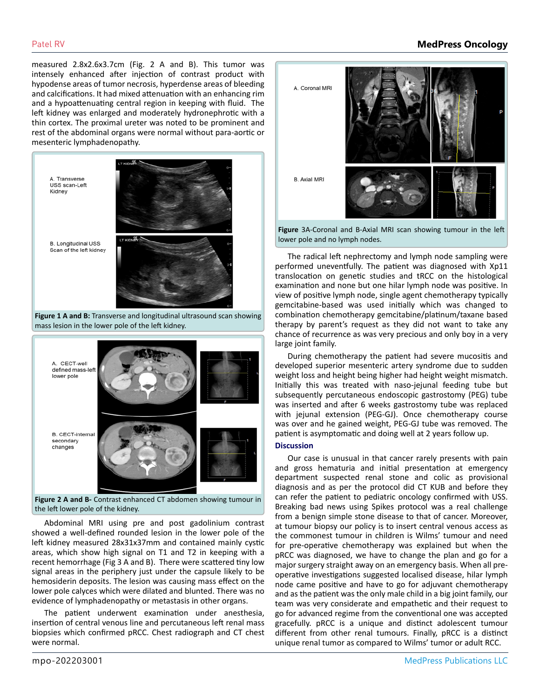measured 2.8x2.6x3.7cm (Fig. 2 A and B). This tumor was intensely enhanced after injection of contrast product with hypodense areas of tumor necrosis, hyperdense areas of bleeding and calcifications. It had mixed attenuation with an enhancing rim and a hypoattenuating central region in keeping with fluid. The left kidney was enlarged and moderately hydronephrotic with a thin cortex. The proximal ureter was noted to be prominent and rest of the abdominal organs were normal without para-aortic or mesenteric lymphadenopathy.



**Figure 1 A and B:** Transverse and longitudinal ultrasound scan showing mass lesion in the lower pole of the left kidney.



**Figure 2 A and B-** Contrast enhanced CT abdomen showing tumour in the left lower pole of the kidney.

Abdominal MRI using pre and post gadolinium contrast showed a well-defined rounded lesion in the lower pole of the left kidney measured 28x31x37mm and contained mainly cystic areas, which show high signal on T1 and T2 in keeping with a recent hemorrhage (Fig 3 A and B). There were scattered tiny low signal areas in the periphery just under the capsule likely to be hemosiderin deposits. The lesion was causing mass effect on the lower pole calyces which were dilated and blunted. There was no evidence of lymphadenopathy or metastasis in other organs.

The patient underwent examination under anesthesia, insertion of central venous line and percutaneous left renal mass biopsies which confirmed pRCC. Chest radiograph and CT chest were normal.

## Patel RV **MedPress Oncology**



**Figure** 3A-Coronal and B-Axial MRI scan showing tumour in the left lower pole and no lymph nodes.

The radical left nephrectomy and lymph node sampling were performed uneventfully. The patient was diagnosed with Xp11 translocation on genetic studies and tRCC on the histological examination and none but one hilar lymph node was positive. In view of positive lymph node, single agent chemotherapy typically gemcitabine-based was used initially which was changed to combination chemotherapy gemcitabine/platinum/taxane based therapy by parent's request as they did not want to take any chance of recurrence as was very precious and only boy in a very large joint family.

During chemotherapy the patient had severe mucositis and developed superior mesenteric artery syndrome due to sudden weight loss and height being higher had height weight mismatch. Initially this was treated with naso-jejunal feeding tube but subsequently percutaneous endoscopic gastrostomy (PEG) tube was inserted and after 6 weeks gastrostomy tube was replaced with jejunal extension (PEG-GJ). Once chemotherapy course was over and he gained weight, PEG-GJ tube was removed. The patient is asymptomatic and doing well at 2 years follow up.

## **Discussion**

Our case is unusual in that cancer rarely presents with pain and gross hematuria and initial presentation at emergency department suspected renal stone and colic as provisional diagnosis and as per the protocol did CT KUB and before they can refer the patient to pediatric oncology confirmed with USS. Breaking bad news using Spikes protocol was a real challenge from a benign simple stone disease to that of cancer. Moreover, at tumour biopsy our policy is to insert central venous access as the commonest tumour in children is Wilms' tumour and need for pre-operative chemotherapy was explained but when the pRCC was diagnosed, we have to change the plan and go for a major surgery straight away on an emergency basis. When all preoperative investigations suggested localised disease, hilar lymph node came positive and have to go for adjuvant chemotherapy and as the patient was the only male child in a big joint family, our team was very considerate and empathetic and their request to go for advanced regime from the conventional one was accepted gracefully. pRCC is a unique and distinct adolescent tumour different from other renal tumours. Finally, pRCC is a distinct unique renal tumor as compared to Wilms' tumor or adult RCC.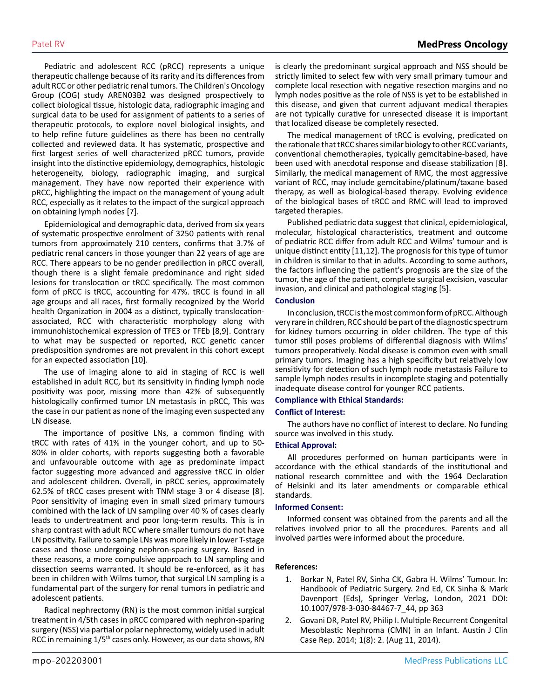Pediatric and adolescent RCC (pRCC) represents a unique therapeutic challenge because of its rarity and its differences from adult RCC or other pediatric renal tumors. The Children's Oncology Group (COG) study AREN03B2 was designed prospectively to collect biological tissue, histologic data, radiographic imaging and surgical data to be used for assignment of patients to a series of therapeutic protocols, to explore novel biological insights, and to help refine future guidelines as there has been no centrally collected and reviewed data. It has systematic, prospective and first largest series of well characterized pRCC tumors, provide insight into the distinctive epidemiology, demographics, histologic heterogeneity, biology, radiographic imaging, and surgical management. They have now reported their experience with pRCC, highlighting the impact on the management of young adult RCC, especially as it relates to the impact of the surgical approach on obtaining lymph nodes [7].

Epidemiological and demographic data, derived from six years of systematic prospective enrolment of 3250 patients with renal tumors from approximately 210 centers, confirms that 3.7% of pediatric renal cancers in those younger than 22 years of age are RCC. There appears to be no gender predilection in pRCC overall, though there is a slight female predominance and right sided lesions for translocation or tRCC specifically. The most common form of pRCC is tRCC, accounting for 47%. tRCC is found in all age groups and all races, first formally recognized by the World health Organization in 2004 as a distinct, typically translocationassociated, RCC with characteristic morphology along with immunohistochemical expression of TFE3 or TFEb [8,9]. Contrary to what may be suspected or reported, RCC genetic cancer predisposition syndromes are not prevalent in this cohort except for an expected association [10].

The use of imaging alone to aid in staging of RCC is well established in adult RCC, but its sensitivity in finding lymph node positivity was poor, missing more than 42% of subsequently histologically confirmed tumor LN metastasis in pRCC, This was the case in our patient as none of the imaging even suspected any LN disease.

The importance of positive LNs, a common finding with tRCC with rates of 41% in the younger cohort, and up to 50- 80% in older cohorts, with reports suggesting both a favorable and unfavourable outcome with age as predominate impact factor suggesting more advanced and aggressive tRCC in older and adolescent children. Overall, in pRCC series, approximately 62.5% of tRCC cases present with TNM stage 3 or 4 disease [8]. Poor sensitivity of imaging even in small sized primary tumours combined with the lack of LN sampling over 40 % of cases clearly leads to undertreatment and poor long-term results. This is in sharp contrast with adult RCC where smaller tumours do not have LN positivity. Failure to sample LNs was more likely in lower T-stage cases and those undergoing nephron-sparing surgery. Based in these reasons, a more compulsive approach to LN sampling and dissection seems warranted. It should be re-enforced, as it has been in children with Wilms tumor, that surgical LN sampling is a fundamental part of the surgery for renal tumors in pediatric and adolescent patients.

Radical nephrectomy (RN) is the most common initial surgical treatment in 4/5th cases in pRCC compared with nephron-sparing surgery (NSS) via partial or polar nephrectomy, widely used in adult RCC in remaining 1/5th cases only. However, as our data shows, RN

is clearly the predominant surgical approach and NSS should be strictly limited to select few with very small primary tumour and complete local resection with negative resection margins and no lymph nodes positive as the role of NSS is yet to be established in this disease, and given that current adjuvant medical therapies are not typically curative for unresected disease it is important that localized disease be completely resected.

The medical management of tRCC is evolving, predicated on the rationale that tRCC shares similar biology to other RCC variants, conventional chemotherapies, typically gemcitabine-based, have been used with anecdotal response and disease stabilization [8]. Similarly, the medical management of RMC, the most aggressive variant of RCC, may include gemcitabine/platinum/taxane based therapy, as well as biological-based therapy. Evolving evidence of the biological bases of tRCC and RMC will lead to improved targeted therapies.

Published pediatric data suggest that clinical, epidemiological, molecular, histological characteristics, treatment and outcome of pediatric RCC differ from adult RCC and Wilms' tumour and is unique distinct entity [11,12]. The prognosis for this type of tumor in children is similar to that in adults. According to some authors, the factors influencing the patient's prognosis are the size of the tumor, the age of the patient, complete surgical excision, vascular invasion, and clinical and pathological staging [5].

## **Conclusion**

In conclusion, tRCC is the most common form of pRCC. Although very rare in children, RCC should be part of the diagnostic spectrum for kidney tumors occurring in older children. The type of this tumor still poses problems of differential diagnosis with Wilms' tumors preoperatively. Nodal disease is common even with small primary tumors. Imaging has a high specificity but relatively low sensitivity for detection of such lymph node metastasis Failure to sample lymph nodes results in incomplete staging and potentially inadequate disease control for younger RCC patients.

## **Compliance with Ethical Standards:**

## **Conflict of Interest:**

The authors have no conflict of interest to declare. No funding source was involved in this study.

#### **Ethical Approval:**

All procedures performed on human participants were in accordance with the ethical standards of the institutional and national research committee and with the 1964 Declaration of Helsinki and its later amendments or comparable ethical standards.

#### **Informed Consent:**

Informed consent was obtained from the parents and all the relatives involved prior to all the procedures. Parents and all involved parties were informed about the procedure.

#### **References:**

- 1. Borkar N, Patel RV, Sinha CK, Gabra H. Wilms' Tumour. In: Handbook of Pediatric Surgery. 2nd Ed, CK Sinha & Mark Davenport (Eds), Springer Verlag, London, 2021 DOI: 10.1007/978-3-030-84467-7\_44, pp 363
- 2. [Govani DR, Patel RV, Philip I. Multiple Recurrent Congenital](https://austinpublishinggroup.com/clinical-case-reports/fulltext/ajccr-v1-id1036.php)  [Mesoblastic Nephroma \(CMN\) in an Infant. Austin J Clin](https://austinpublishinggroup.com/clinical-case-reports/fulltext/ajccr-v1-id1036.php)  [Case Rep. 2014; 1\(8\): 2. \(Aug 11, 2014\).](https://austinpublishinggroup.com/clinical-case-reports/fulltext/ajccr-v1-id1036.php)